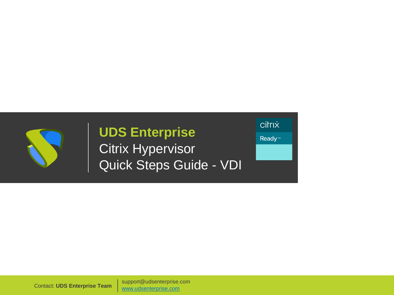

### **UDS Enterprise**  Citrix Hypervisor Quick Steps Guide - VDI

citrix

Ready<sup>™</sup>

Contact: **UDS Enterprise Team** [www.udsenterprise.com](http://www.udsenterprise.com/) support@udsenterprise.com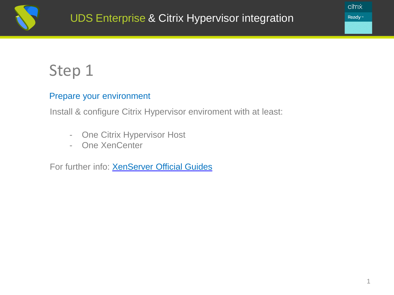

### Step 1

#### Prepare your environment

Install & configure Citrix Hypervisor enviroment with at least:

- One Citrix Hypervisor Host
- One XenCenter

For further info: **[XenServer](https://docs.citrix.com/en-us/xenserver.html) Official Guides** 

citrix **Ready**™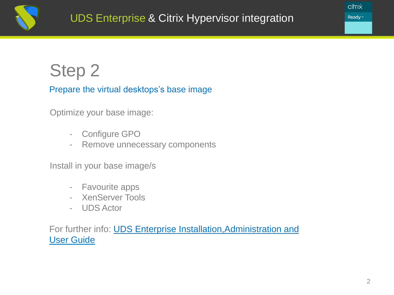

## Step 2

#### Prepare the virtual desktops's base image

Optimize your base image:

- Configure GPO
- Remove unnecessary components

Install in your base image/s

- Favourite apps
- XenServer Tools
- UDS Actor

For further info: **UDS Enterprise Installation, Administration and** User Guide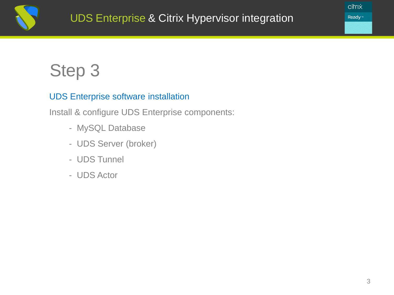

## Step 3

### UDS Enterprise software installation

Install & configure UDS Enterprise components:

- MySQL Database
- UDS Server (broker)
- UDS Tunnel
- UDS Actor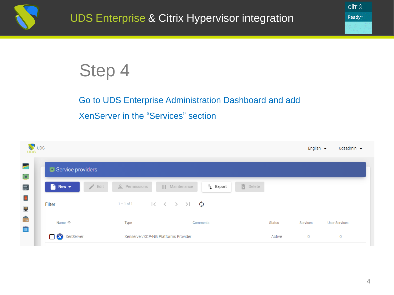

# Step 4

### Go to UDS Enterprise Administration Dashboard and add XenServer in the "Services" section

| Service providers                                             |                |                                                                       |                                |          |                      |
|---------------------------------------------------------------|----------------|-----------------------------------------------------------------------|--------------------------------|----------|----------------------|
| $\blacksquare$ New $\blacktriangledown$<br>$\rightarrow$ Edit | e Permissions  | $t_{\downarrow}$ Export<br>  Maintenance                              | $\overline{\mathbf{E}}$ Delete |          |                      |
| Filter                                                        | $1 - 1$ of $1$ | $ \langle \langle \rangle \rangle \rangle$ $ \langle \rangle \rangle$ |                                |          |                      |
| Name 个                                                        | Type           | Comments                                                              | <b>Status</b>                  | Services | <b>User Services</b> |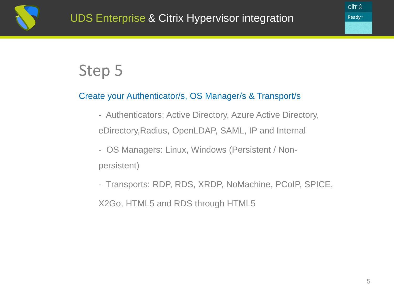

### Step 5

#### Create your Authenticator/s, OS Manager/s & Transport/s

- Authenticators: Active Directory, Azure Active Directory, eDirectory,Radius, OpenLDAP, SAML, IP and Internal
- OS Managers: Linux, Windows (Persistent / Nonpersistent)
- Transports: RDP, RDS, XRDP, NoMachine, PCoIP, SPICE,

X2Go, HTML5 and RDS through HTML5

citrix Ready™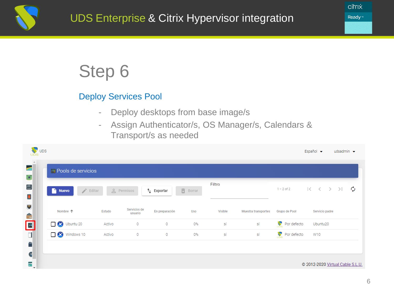

# Step 6

### Deploy Services Pool

- Deploy desktops from base image/s
- Assign Authenticator/s, OS Manager/s, Calendars & Transport/s as needed

| $\sqrt{\frac{1}{2}}$ UDS<br><b>UDS</b> |                               |        |                         |                     |                               |         |                     |               | Español v                                                                                                | udsadmin $\blacktriangleright$ |   |
|----------------------------------------|-------------------------------|--------|-------------------------|---------------------|-------------------------------|---------|---------------------|---------------|----------------------------------------------------------------------------------------------------------|--------------------------------|---|
| od.<br>Œ,                              | <b>Ed</b> Pools de servicios  |        |                         |                     |                               |         |                     |               |                                                                                                          |                                |   |
| Ė<br>$\overline{\mathbf{D}}$           | Nuevo<br>$\rightarrow$ Editar |        | e Permisos              | $\uparrow$ Exportar | $\overline{\boxtimes}$ Borrar | Filtro  |                     | $1 - 2$ of 2  | $\begin{array}{ccccccc} \vert \langle & \vert & \langle & \rangle & \rangle & \rangle \vert \end{array}$ |                                | ڻ |
| $\blacksquare$                         | Nombre 个                      | Estado | Servicios de<br>usuario | En preparación      | Uso                           | Visible | Muestra transportes | Grupo de Pool | Servicio padre                                                                                           |                                |   |
| û<br>El                                | Ubuntu 20                     | Activo | $\circ$                 | 0                   | 0%                            | sí      | sí                  | Por defecto   | Ubuntu20                                                                                                 |                                |   |
| $\Box$<br>Ê                            | <b>X</b> Windows 10           | Activo | $\circ$                 | $\circ$             | 0%                            | sí      | sí                  | Por defecto   | W10                                                                                                      |                                |   |
| G<br>Ē                                 |                               |        |                         |                     |                               |         |                     |               | @ 2012-2020 Virtual Cable S.L.U.                                                                         |                                |   |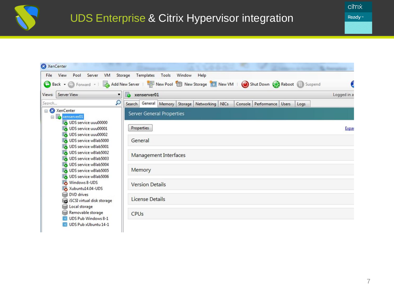

citrix Ready<sup>™</sup>

| XenCenter                                                                  |                                                                                              |             |
|----------------------------------------------------------------------------|----------------------------------------------------------------------------------------------|-------------|
| File<br>View<br>Server<br>VM<br>Pool                                       | Templates<br>Storage<br>Tools<br>Window<br>Help                                              |             |
| Back v D Forward v                                                         | Add New Server   <b>Company Property New Storage   New VM</b>   Shut Down   Reboot   Suspend |             |
| <b>Server View</b><br>Views:<br>۰                                          | xenserver01<br>FO                                                                            | Logged in a |
| Q<br>Search                                                                | Search General Memory Storage Networking NICs<br>Console Performance Users<br>Logs           |             |
| □ XenCenter<br><b>F</b> xenserver01<br>Θ<br>UDS service uuu00000           | <b>Server General Properties</b>                                                             |             |
| UDS service uuu00001<br>UDS service uuu00002                               | Properties                                                                                   | Expar       |
| UDS service w8lab5000<br>UDS service w8lab5001                             | General                                                                                      |             |
| UDS service w8lab5002<br>UDS service w8lab5003                             | <b>Management Interfaces</b>                                                                 |             |
| UDS service w8lab5004<br>UDS service w8lab5005<br>UDS service w8lab5006    | Memory                                                                                       |             |
| Windows 8-UDS<br>Xubuntu14.04-UDS                                          | <b>Version Details</b>                                                                       |             |
| <b>DVD</b> drives<br>⇔<br>iSCSI virtual disk storage<br>8<br>Local storage | License Details                                                                              |             |
| Removable storage<br>UDS Pub Windows 8-1<br>UDS Pub xUbuntu 14-1           | CPUs                                                                                         |             |
|                                                                            |                                                                                              |             |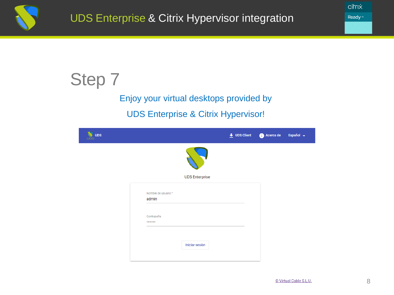

Step 7

Enjoy your virtual desktops provided by UDS Enterprise & Citrix Hypervisor!

|                              |                       | $\overline{\mathbf{L}}$ UDS Client | Acerca de | Español $\rightarrow$ |
|------------------------------|-----------------------|------------------------------------|-----------|-----------------------|
|                              |                       |                                    |           |                       |
|                              | <b>UDS Enterprise</b> |                                    |           |                       |
| Nombre de usuario *<br>admin |                       |                                    |           |                       |
| Contraseña<br>               |                       |                                    |           |                       |
|                              | Iniciar sesión        |                                    |           |                       |
|                              |                       |                                    |           |                       |

citrix **Ready**™